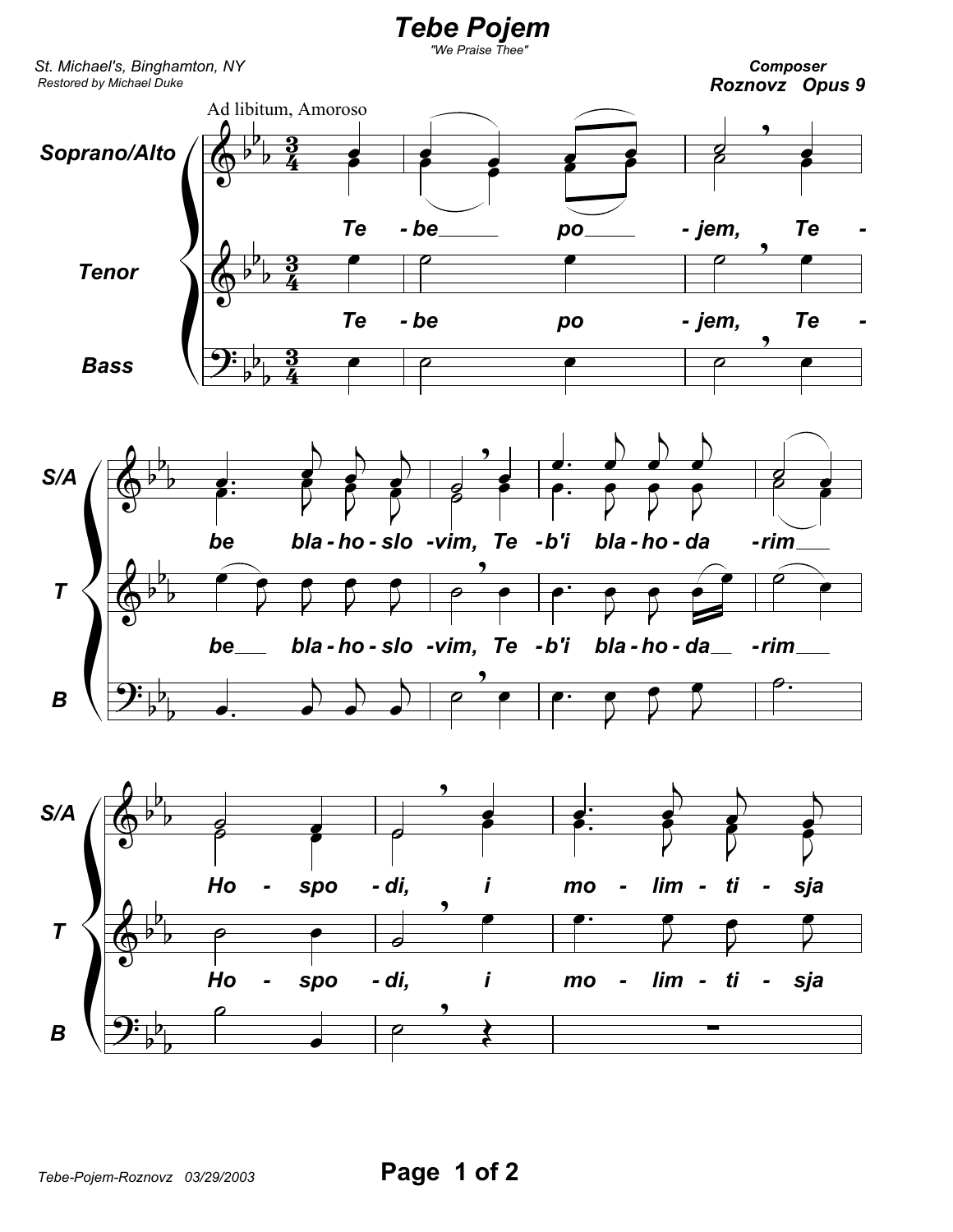